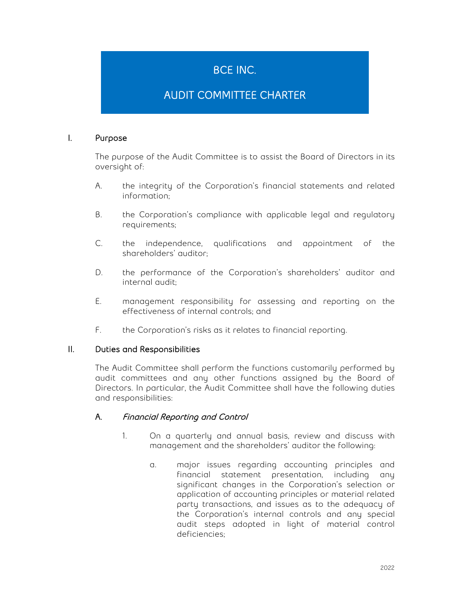# BCE INC.

# AUDIT COMMITTEE CHARTER

## I. Purpose

The purpose of the Audit Committee is to assist the Board of Directors in its oversight of:

- A. the integrity of the Corporation's financial statements and related information;
- B. the Corporation's compliance with applicable legal and regulatory requirements;
- C. the independence, qualifications and appointment of the shareholders' auditor;
- D. the performance of the Corporation's shareholders' auditor and internal audit;
- E. management responsibility for assessing and reporting on the effectiveness of internal controls; and
- F. the Corporation's risks as it relates to financial reporting.

## II. Duties and Responsibilities

The Audit Committee shall perform the functions customarily performed by audit committees and any other functions assigned by the Board of Directors. In particular, the Audit Committee shall have the following duties and responsibilities:

## A. Financial Reporting and Control

- 1. On a quarterly and annual basis, review and discuss with management and the shareholders' auditor the following:
	- a. major issues regarding accounting principles and financial statement presentation, including any significant changes in the Corporation's selection or application of accounting principles or material related party transactions, and issues as to the adequacy of the Corporation's internal controls and any special audit steps adopted in light of material control deficiencies;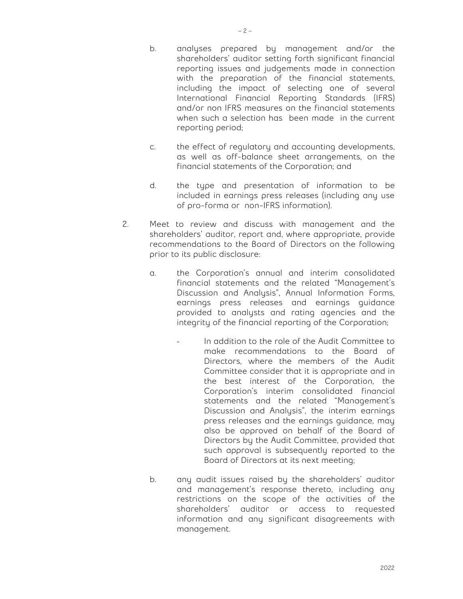- b. analyses prepared by management and/or the shareholders' auditor setting forth significant financial reporting issues and judgements made in connection with the preparation of the financial statements, including the impact of selecting one of several International Financial Reporting Standards (IFRS) and/or non IFRS measures on the financial statements when such a selection has been made in the current reporting period;
- c. the effect of regulatory and accounting developments, as well as off-balance sheet arrangements, on the financial statements of the Corporation; and
- d. the type and presentation of information to be included in earnings press releases (including any use of pro-forma or non-IFRS information).
- 2. Meet to review and discuss with management and the shareholders' auditor, report and, where appropriate, provide recommendations to the Board of Directors on the following prior to its public disclosure:
	- a. the Corporation's annual and interim consolidated financial statements and the related "Management's Discussion and Analysis", Annual Information Forms, earnings press releases and earnings guidance provided to analysts and rating agencies and the integrity of the financial reporting of the Corporation;
		- In addition to the role of the Audit Committee to make recommendations to the Board of Directors, where the members of the Audit Committee consider that it is appropriate and in the best interest of the Corporation, the Corporation's interim consolidated financial statements and the related "Management's Discussion and Analysis", the interim earnings press releases and the earnings guidance, may also be approved on behalf of the Board of Directors by the Audit Committee, provided that such approval is subsequently reported to the Board of Directors at its next meeting;
	- b. any audit issues raised by the shareholders' auditor and management's response thereto, including any restrictions on the scope of the activities of the shareholders' auditor or access to requested information and any significant disagreements with management.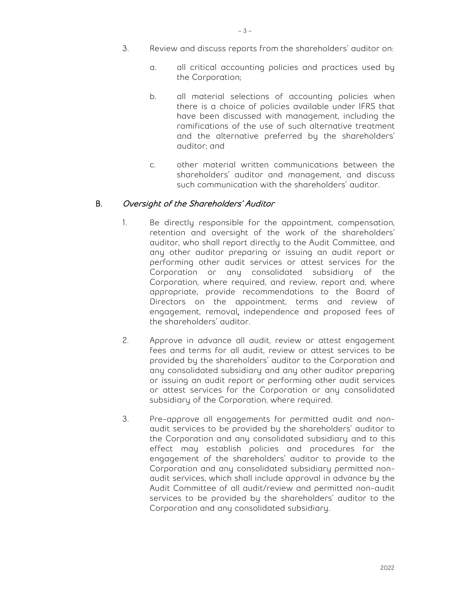- 3. Review and discuss reports from the shareholders' auditor on:
	- a. all critical accounting policies and practices used by the Corporation;
	- b. all material selections of accounting policies when there is a choice of policies available under IFRS that have been discussed with management, including the ramifications of the use of such alternative treatment and the alternative preferred by the shareholders' auditor; and
	- c. other material written communications between the shareholders' auditor and management, and discuss such communication with the shareholders' auditor.

## B. Oversight of the Shareholders' Auditor

- 1. Be directly responsible for the appointment, compensation, retention and oversight of the work of the shareholders' auditor, who shall report directly to the Audit Committee, and any other auditor preparing or issuing an audit report or performing other audit services or attest services for the Corporation or any consolidated subsidiary of the Corporation, where required, and review, report and, where appropriate, provide recommendations to the Board of Directors on the appointment, terms and review of engagement, removal, independence and proposed fees of the shareholders' auditor.
- 2. Approve in advance all audit, review or attest engagement fees and terms for all audit, review or attest services to be provided by the shareholders' auditor to the Corporation and any consolidated subsidiary and any other auditor preparing or issuing an audit report or performing other audit services or attest services for the Corporation or any consolidated subsidiary of the Corporation, where required.
- 3. Pre-approve all engagements for permitted audit and nonaudit services to be provided by the shareholders' auditor to the Corporation and any consolidated subsidiary and to this effect may establish policies and procedures for the engagement of the shareholders' auditor to provide to the Corporation and any consolidated subsidiary permitted nonaudit services, which shall include approval in advance by the Audit Committee of all audit/review and permitted non-audit services to be provided by the shareholders' auditor to the Corporation and any consolidated subsidiary.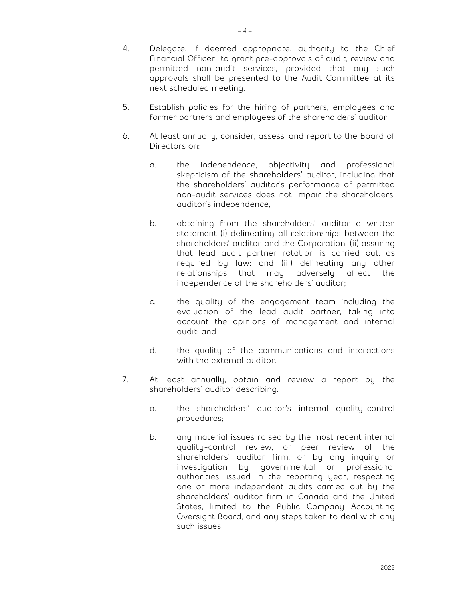- 4. Delegate, if deemed appropriate, authority to the Chief Financial Officer to grant pre-approvals of audit, review and permitted non-audit services, provided that any such approvals shall be presented to the Audit Committee at its next scheduled meeting.
- 5. Establish policies for the hiring of partners, employees and former partners and employees of the shareholders' auditor.
- 6. At least annually, consider, assess, and report to the Board of Directors on:
	- a. the independence, objectivity and professional skepticism of the shareholders' auditor, including that the shareholders' auditor's performance of permitted non-audit services does not impair the shareholders' auditor's independence;
	- b. obtaining from the shareholders' auditor a written statement (i) delineating all relationships between the shareholders' auditor and the Corporation; (ii) assuring that lead audit partner rotation is carried out, as required by law; and (iii) delineating any other relationships that may adversely affect the independence of the shareholders' auditor;
	- c. the quality of the engagement team including the evaluation of the lead audit partner, taking into account the opinions of management and internal audit; and
	- d. the quality of the communications and interactions with the external auditor.
- 7. At least annually, obtain and review a report by the shareholders' auditor describing:
	- a. the shareholders' auditor's internal quality-control procedures;
	- b. any material issues raised by the most recent internal quality-control review, or peer review of the shareholders' auditor firm, or by any inquiry or investigation by governmental or professional authorities, issued in the reporting year, respecting one or more independent audits carried out by the shareholders' auditor firm in Canada and the United States, limited to the Public Company Accounting Oversight Board, and any steps taken to deal with any such issues.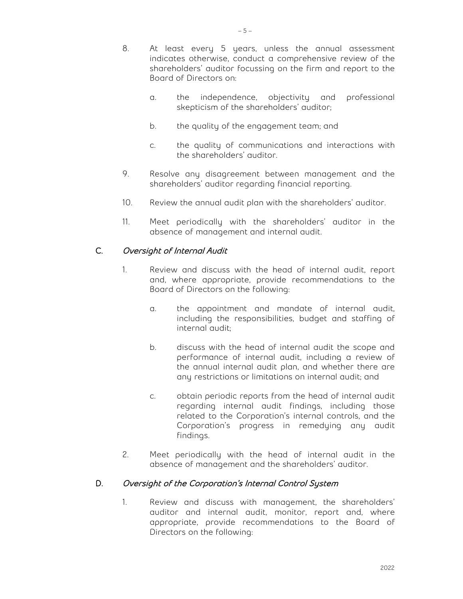- 8. At least every 5 years, unless the annual assessment indicates otherwise, conduct a comprehensive review of the shareholders' auditor focussing on the firm and report to the Board of Directors on:
	- a. the independence, objectivity and professional skepticism of the shareholders' auditor;
	- b. the quality of the engagement team; and
	- c. the quality of communications and interactions with the shareholders' auditor.
- 9. Resolve any disagreement between management and the shareholders' auditor regarding financial reporting.
- 10. Review the annual audit plan with the shareholders' auditor.
- 11. Meet periodically with the shareholders' auditor in the absence of management and internal audit.

## C. Oversight of Internal Audit

- 1. Review and discuss with the head of internal audit, report and, where appropriate, provide recommendations to the Board of Directors on the following:
	- a. the appointment and mandate of internal audit, including the responsibilities, budget and staffing of internal audit;
	- b. discuss with the head of internal audit the scope and performance of internal audit, including a review of the annual internal audit plan, and whether there are any restrictions or limitations on internal audit; and
	- c. obtain periodic reports from the head of internal audit regarding internal audit findings, including those related to the Corporation's internal controls, and the Corporation's progress in remedying any audit findings.
- 2. Meet periodically with the head of internal audit in the absence of management and the shareholders' auditor.

## D. Oversight of the Corporation's Internal Control System

1. Review and discuss with management, the shareholders' auditor and internal audit, monitor, report and, where appropriate, provide recommendations to the Board of Directors on the following: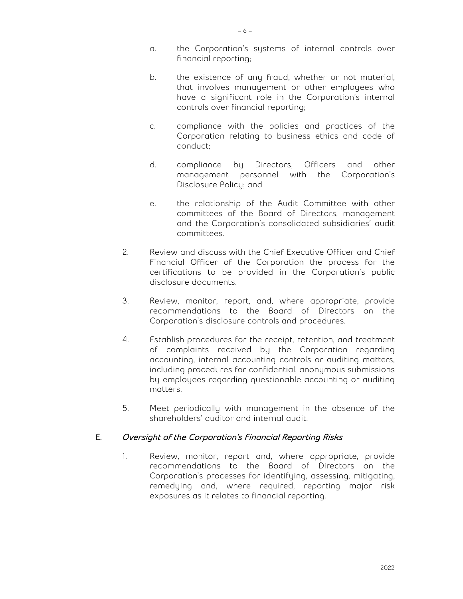- a. the Corporation's systems of internal controls over financial reporting;
- b. the existence of any fraud, whether or not material, that involves management or other employees who have a significant role in the Corporation's internal controls over financial reporting;
- c. compliance with the policies and practices of the Corporation relating to business ethics and code of conduct;
- d. compliance by Directors, Officers and other management personnel with the Corporation's Disclosure Policy; and
- e. the relationship of the Audit Committee with other committees of the Board of Directors, management and the Corporation's consolidated subsidiaries' audit committees.
- 2. Review and discuss with the Chief Executive Officer and Chief Financial Officer of the Corporation the process for the certifications to be provided in the Corporation's public disclosure documents.
- 3. Review, monitor, report, and, where appropriate, provide recommendations to the Board of Directors on the Corporation's disclosure controls and procedures.
- 4. Establish procedures for the receipt, retention, and treatment of complaints received by the Corporation regarding accounting, internal accounting controls or auditing matters, including procedures for confidential, anonymous submissions by employees regarding questionable accounting or auditing matters.
- 5. Meet periodically with management in the absence of the shareholders' auditor and internal audit.

## E. Oversight of the Corporation's Financial Reporting Risks

1. Review, monitor, report and, where appropriate, provide recommendations to the Board of Directors on the Corporation's processes for identifying, assessing, mitigating, remedying and, where required, reporting major risk exposures as it relates to financial reporting.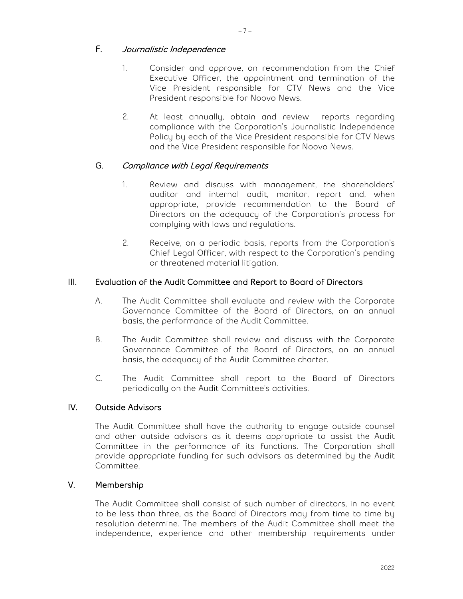## F. Journalistic Independence

- 1. Consider and approve, on recommendation from the Chief Executive Officer, the appointment and termination of the Vice President responsible for CTV News and the Vice President responsible for Noovo News.
- 2. At least annually, obtain and review reports regarding compliance with the Corporation's Journalistic Independence Policy by each of the Vice President responsible for CTV News and the Vice President responsible for Noovo News.

## G. Compliance with Legal Requirements

- 1. Review and discuss with management, the shareholders' auditor and internal audit, monitor, report and, when appropriate, provide recommendation to the Board of Directors on the adequacy of the Corporation's process for complying with laws and regulations.
- 2. Receive, on a periodic basis, reports from the Corporation's Chief Legal Officer, with respect to the Corporation's pending or threatened material litigation.

### III. Evaluation of the Audit Committee and Report to Board of Directors

- A. The Audit Committee shall evaluate and review with the Corporate Governance Committee of the Board of Directors, on an annual basis, the performance of the Audit Committee.
- B. The Audit Committee shall review and discuss with the Corporate Governance Committee of the Board of Directors, on an annual basis, the adequacy of the Audit Committee charter.
- C. The Audit Committee shall report to the Board of Directors periodically on the Audit Committee's activities.

## IV. Outside Advisors

The Audit Committee shall have the authority to engage outside counsel and other outside advisors as it deems appropriate to assist the Audit Committee in the performance of its functions. The Corporation shall provide appropriate funding for such advisors as determined by the Audit Committee.

### V. Membership

The Audit Committee shall consist of such number of directors, in no event to be less than three, as the Board of Directors may from time to time by resolution determine. The members of the Audit Committee shall meet the independence, experience and other membership requirements under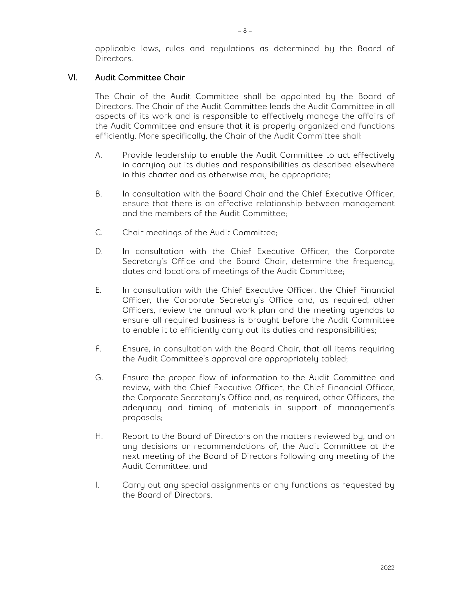applicable laws, rules and regulations as determined by the Board of Directors.

#### VI. Audit Committee Chair

The Chair of the Audit Committee shall be appointed by the Board of Directors. The Chair of the Audit Committee leads the Audit Committee in all aspects of its work and is responsible to effectively manage the affairs of the Audit Committee and ensure that it is properly organized and functions efficiently. More specifically, the Chair of the Audit Committee shall:

- A. Provide leadership to enable the Audit Committee to act effectively in carrying out its duties and responsibilities as described elsewhere in this charter and as otherwise may be appropriate;
- B. In consultation with the Board Chair and the Chief Executive Officer, ensure that there is an effective relationship between management and the members of the Audit Committee;
- C. Chair meetings of the Audit Committee;
- D. In consultation with the Chief Executive Officer, the Corporate Secretary's Office and the Board Chair, determine the frequency, dates and locations of meetings of the Audit Committee;
- E. In consultation with the Chief Executive Officer, the Chief Financial Officer, the Corporate Secretary's Office and, as required, other Officers, review the annual work plan and the meeting agendas to ensure all required business is brought before the Audit Committee to enable it to efficiently carry out its duties and responsibilities;
- F. Ensure, in consultation with the Board Chair, that all items requiring the Audit Committee's approval are appropriately tabled;
- G. Ensure the proper flow of information to the Audit Committee and review, with the Chief Executive Officer, the Chief Financial Officer, the Corporate Secretary's Office and, as required, other Officers, the adequacy and timing of materials in support of management's proposals;
- H. Report to the Board of Directors on the matters reviewed by, and on any decisions or recommendations of, the Audit Committee at the next meeting of the Board of Directors following any meeting of the Audit Committee; and
- I. Carry out any special assignments or any functions as requested by the Board of Directors.